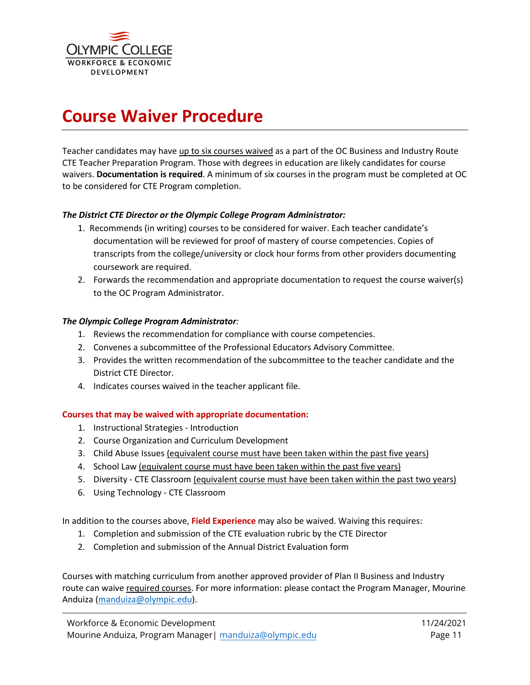

# **Course Waiver Procedure**

Teacher candidates may have up to six courses waived as a part of the OC Business and Industry Route CTE Teacher Preparation Program. Those with degrees in education are likely candidates for course waivers. **Documentation is required**. A minimum of six courses in the program must be completed at OC to be considered for CTE Program completion.

#### *The District CTE Director or the Olympic College Program Administrator:*

- 1. Recommends (in writing) courses to be considered for waiver. Each teacher candidate's documentation will be reviewed for proof of mastery of course competencies. Copies of transcripts from the college/university or clock hour forms from other providers documenting coursework are required.
- 2. Forwards the recommendation and appropriate documentation to request the course waiver(s) to the OC Program Administrator.

#### *The Olympic College Program Administrator:*

- 1. Reviews the recommendation for compliance with course competencies.
- 2. Convenes a subcommittee of the Professional Educators Advisory Committee.
- 3. Provides the written recommendation of the subcommittee to the teacher candidate and the District CTE Director.
- 4. Indicates courses waived in the teacher applicant file.

#### **Courses that may be waived with appropriate documentation:**

- 1. Instructional Strategies Introduction
- 2. Course Organization and Curriculum Development
- 3. Child Abuse Issues (equivalent course must have been taken within the past five years)
- 4. School Law (equivalent course must have been taken within the past five years)
- 5. Diversity CTE Classroom (equivalent course must have been taken within the past two years)
- 6. Using Technology CTE Classroom

In addition to the courses above, **Field Experience** may also be waived. Waiving this requires:

- 1. Completion and submission of the CTE evaluation rubric by the CTE Director
- 2. Completion and submission of the Annual District Evaluation form

Courses with matching curriculum from another approved provider of Plan II Business and Industry route can waive required courses. For more information: please contact the Program Manager, Mourine Anduiza [\(manduiza@olympic.edu\)](mailto:manduiza@olympic.edu).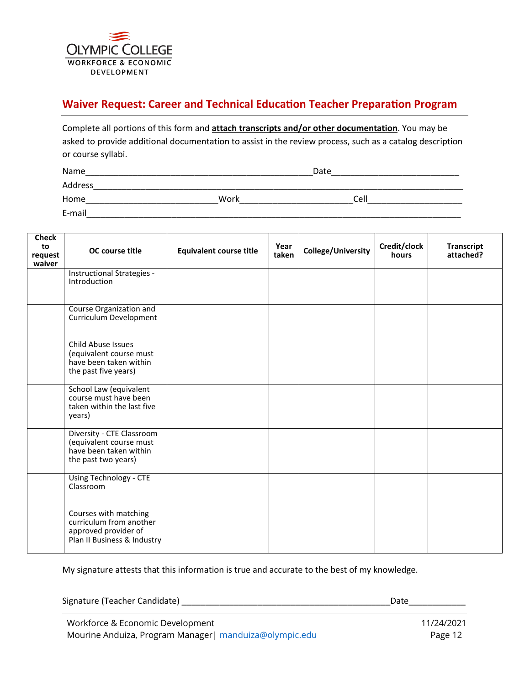

## **Waiver Request: Career and Technical Education Teacher Preparation Program**

| Complete all portions of this form and attach transcripts and/or other documentation. You may be         |
|----------------------------------------------------------------------------------------------------------|
| asked to provide additional documentation to assist in the review process, such as a catalog description |
| or course syllabi.                                                                                       |

Name\_\_\_\_\_\_\_\_\_\_\_\_\_\_\_\_\_\_\_\_\_\_\_\_\_\_\_\_\_\_\_\_\_\_\_\_\_\_\_\_\_\_\_\_\_\_\_\_Date\_\_\_\_\_\_\_\_\_\_\_\_\_\_\_\_\_\_\_\_\_\_\_\_\_\_\_

Address\_\_\_\_\_\_\_\_\_\_\_\_\_\_\_\_\_\_\_\_\_\_\_\_\_\_\_\_\_\_\_\_\_\_\_\_\_\_\_\_\_\_\_\_\_\_\_\_\_\_\_\_\_\_\_\_\_\_\_\_\_\_\_\_\_\_\_\_\_\_\_\_\_\_\_\_\_\_

Home\_\_\_\_\_\_\_\_\_\_\_\_\_\_\_\_\_\_\_\_\_\_\_\_\_\_\_\_Work\_\_\_\_\_\_\_\_\_\_\_\_\_\_\_\_\_\_\_\_\_\_\_\_Cell\_\_\_\_\_\_\_\_\_\_\_\_\_\_\_\_\_\_\_\_ E-mail\_\_\_\_\_\_\_\_\_\_\_\_\_\_\_\_\_\_\_\_\_\_\_\_\_\_\_\_\_\_\_\_\_\_\_\_\_\_\_\_\_\_\_\_\_\_\_\_\_\_\_\_\_\_\_\_\_\_\_\_\_\_\_\_\_\_\_\_\_\_\_\_\_\_\_\_\_\_\_

| <b>Check</b><br>to<br>request<br>waiver | OC course title                                                                                         | <b>Equivalent course title</b> | Year<br>taken | College/University | Credit/clock<br>hours | <b>Transcript</b><br>attached? |
|-----------------------------------------|---------------------------------------------------------------------------------------------------------|--------------------------------|---------------|--------------------|-----------------------|--------------------------------|
|                                         | Instructional Strategies -<br>Introduction                                                              |                                |               |                    |                       |                                |
|                                         | Course Organization and<br>Curriculum Development                                                       |                                |               |                    |                       |                                |
|                                         | <b>Child Abuse Issues</b><br>(equivalent course must<br>have been taken within<br>the past five years)  |                                |               |                    |                       |                                |
|                                         | School Law (equivalent<br>course must have been<br>taken within the last five<br>years)                 |                                |               |                    |                       |                                |
|                                         | Diversity - CTE Classroom<br>(equivalent course must<br>have been taken within<br>the past two years)   |                                |               |                    |                       |                                |
|                                         | Using Technology - CTE<br>Classroom                                                                     |                                |               |                    |                       |                                |
|                                         | Courses with matching<br>curriculum from another<br>approved provider of<br>Plan II Business & Industry |                                |               |                    |                       |                                |

My signature attests that this information is true and accurate to the best of my knowledge.

Signature (Teacher Candidate) \_\_\_\_\_\_\_\_\_\_\_\_\_\_\_\_\_\_\_\_\_\_\_\_\_\_\_\_\_\_\_\_\_\_\_\_\_\_\_\_\_\_\_\_Date\_\_\_\_\_\_\_\_\_\_\_\_

Workforce & Economic Development Mourine Anduiza, Program Manager| manduiza[@olympic.edu](mailto:esandness@olympic.edu)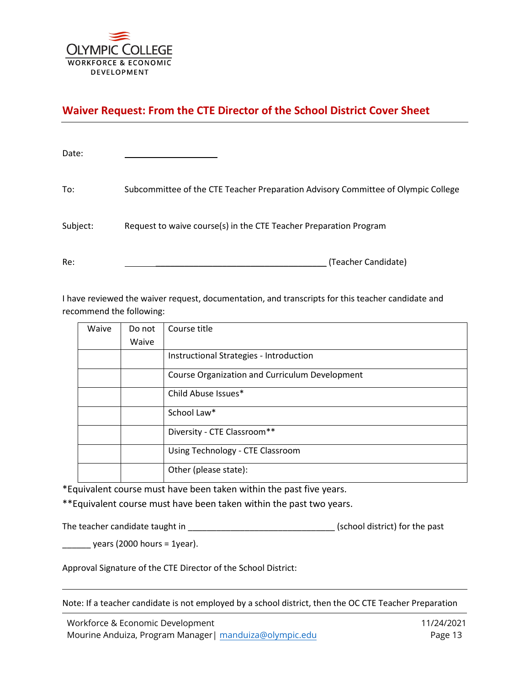

## **Waiver Request: From the CTE Director of the School District Cover Sheet**

| Date:    |                                                                                   |
|----------|-----------------------------------------------------------------------------------|
| To:      | Subcommittee of the CTE Teacher Preparation Advisory Committee of Olympic College |
| Subject: | Request to waive course(s) in the CTE Teacher Preparation Program                 |
| Re:      | (Teacher Candidate)                                                               |

I have reviewed the waiver request, documentation, and transcripts for this teacher candidate and recommend the following:

| Waive | Do not | Course title                                   |
|-------|--------|------------------------------------------------|
|       | Waive  |                                                |
|       |        | Instructional Strategies - Introduction        |
|       |        | Course Organization and Curriculum Development |
|       |        | Child Abuse Issues*                            |
|       |        | School Law*                                    |
|       |        | Diversity - CTE Classroom**                    |
|       |        | Using Technology - CTE Classroom               |
|       |        | Other (please state):                          |

\*Equivalent course must have been taken within the past five years.

\*\*Equivalent course must have been taken within the past two years.

The teacher candidate taught in \_\_\_\_\_\_\_\_\_\_\_\_\_\_\_\_\_\_\_\_\_\_\_\_\_\_\_\_\_\_\_ (school district) for the past

 $\frac{1}{2}$  years (2000 hours = 1year).

Approval Signature of the CTE Director of the School District:

Note: If a teacher candidate is not employed by a school district, then the OC CTE Teacher Preparation

Workforce & Economic Development Mourine Anduiza, Program Manager| manduiza[@olympic.edu](mailto:esandness@olympic.edu)